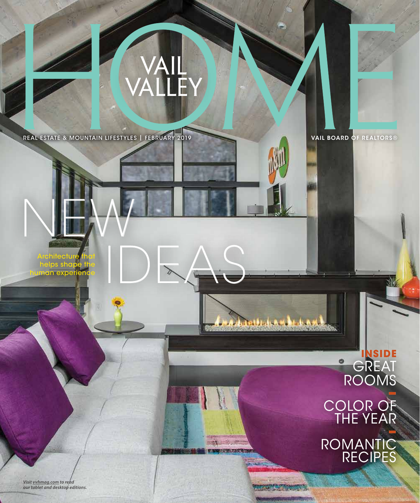

## **/AIL<br>\LLEY**

REAL ESTATE & MOUNTAIN LIFESTYLES | FEBRUARY 2019

Architecture that<br>
helps shape the<br>
Iuman experience helps shape the h expe

NEW

GREAT ROOMS **–** COLOR OF THE YEAR **inside**

*Addressment December* 

**COURSE COMPANY** 

A COMPA PERSONAL

317

**–** ROMANTIC RECIPES

*Visit vvhmag.com to read our tablet and desktop editions.*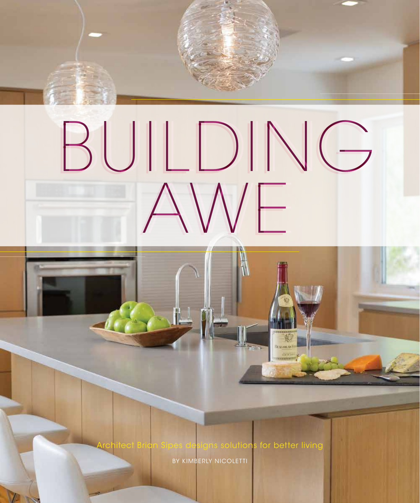

BY KIMBERLY NICOLETTI

FEBRUARY 2019 | VAIL VALLEY HOME **61**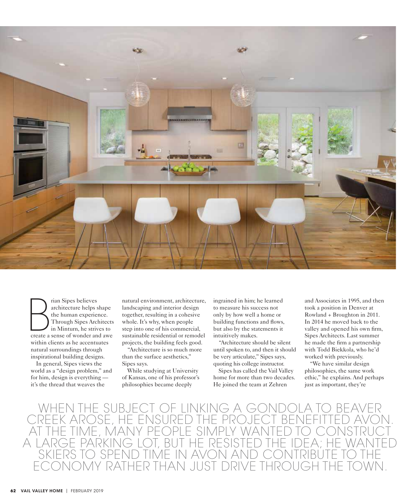

Fran Sipes believes<br>
architecture helps shape<br>
the human experience.<br>
Through Sipes Architects<br>
in Minturn, he strives to<br>
create a sense of wonder and awe rian Sipes believes architecture helps shape the human experience. Through Sipes Architects in Minturn, he strives to within clients as he accentuates natural surroundings through inspirational building designs.

In general, Sipes views the world as a "design problem," and for him, design is everything it's the thread that weaves the

natural environment, architecture, landscaping and interior design together, resulting in a cohesive whole. It's why, when people step into one of his commercial, sustainable residential or remodel projects, the building feels good.

"Architecture is so much more than the surface aesthetics," Sipes says.

While studying at University of Kansas, one of his professor's philosophies became deeply

ingrained in him; he learned to measure his success not only by how well a home or building functions and flows, but also by the statements it intuitively makes.

"Architecture should be silent until spoken to, and then it should be very articulate," Sipes says, quoting his college instructor.

Sipes has called the Vail Valley home for more than two decades. He joined the team at Zehren

and Associates in 1995, and then took a position in Denver at Rowland + Broughton in 2011. In 2014 he moved back to the valley and opened his own firm, Sipes Architects. Last summer he made the firm a partnership with Todd Biekkola, who he'd worked with previously.

"We have similar design philosophies, the same work ethic," he explains. And perhaps just as important, they're

WHEN THE SUBJECT OF LINKING A G<br>RFFK AROSE, HE ENSURED THE PROJE E, HE ENSURED T<br>MANY PFOPLE S AT THE TIME, MANY PEOPLE SIMPLY WANTED TO CONSTRUCT A LARGE PARKING LOT, BUT HE RESISTED<br>SKIERS TO SPEND TIME IN AVON AND D TIME IN AVO **ENTER THAN JUST DRIVE THROW**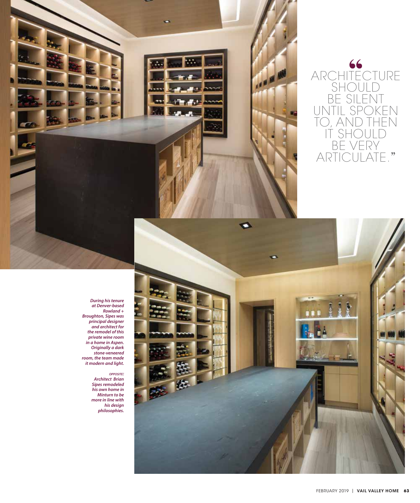



*During his tenure at Denver-based Rowland + Broughton, Sipes was principal designer and architect for the remodel of this private wine room in a home in Aspen. Originally a dark stone-veneered room, the team made it modern and light.*

## *opposite:*

*Architect Brian Sipes remodeled his own home in Minturn to be more in line with his design philosophies.*

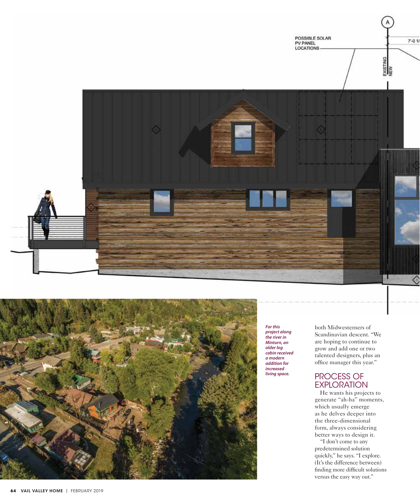



*For this project along the river in Minturn, an older log cabin received a modern addition for increased living space.* 

both Midwesterners of Scandinavian descent. "We are hoping to continue to grow and add one or two talented designers, plus an office manager this year."

## PROCESS OF EXPLORATION

He wants his projects to generate "ah-ha" moments, which usually emerge as he delves deeper into the three-dimensional form, always considering better ways to design it.

"I don't come to any predetermined solution quickly," he says. "I explore. (It's the difference between) finding more difficult solutions versus the easy way out."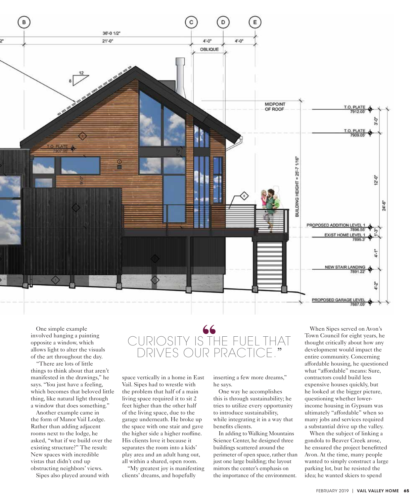

One simple example involved hanging a painting opposite a window, which allows light to alter the visuals of the art throughout the day.

"There are lots of little things to think about that aren't manifested in the drawings," he says. "You just have a feeling, which becomes that beloved little thing, like natural light through a window that does something."

Another example came in the form of Manor Vail Lodge. Rather than adding adjacent rooms next to the lodge, he asked, "what if we build over the existing structure?" The result: New spaces with incredible vistas that didn't end up obstructing neighbors' views.

Sipes also played around with

## l CURIOSITY IS THE FUEL THAT DRIVES OUR PRACTICE."

space vertically in a home in East Vail. Sipes had to wrestle with the problem that half of a main living space required it to sit 2 feet higher than the other half of the living space, due to the garage underneath. He broke up the space with one stair and gave the higher side a higher roofline. His clients love it because it separates the room into a kids' play area and an adult hang out, all within a shared, open room.

"My greatest joy is manifesting clients' dreams, and hopefully

inserting a few more dreams," he says.

One way he accomplishes this is through sustainability; he tries to utilize every opportunity to introduce sustainability, while integrating it in a way that benefits clients.

In adding to Walking Mountains Science Center, he designed three buildings scattered around the perimeter of open space, rather than just one large building; the layout mirrors the center's emphasis on the importance of the environment.

When Sipes served on Avon's Town Council for eight years, he thought critically about how any development would impact the entire community. Concerning affordable housing, he questioned what "affordable" means: Sure, contractors could build less expensive houses quickly, but he looked at the bigger picture, questioning whether lowerincome housing in Gypsum was ultimately "affordable" when so many jobs and services required a substantial drive up the valley.

When the subject of linking a gondola to Beaver Creek arose, he ensured the project benefitted Avon. At the time, many people wanted to simply construct a large parking lot, but he resisted the idea; he wanted skiers to spend